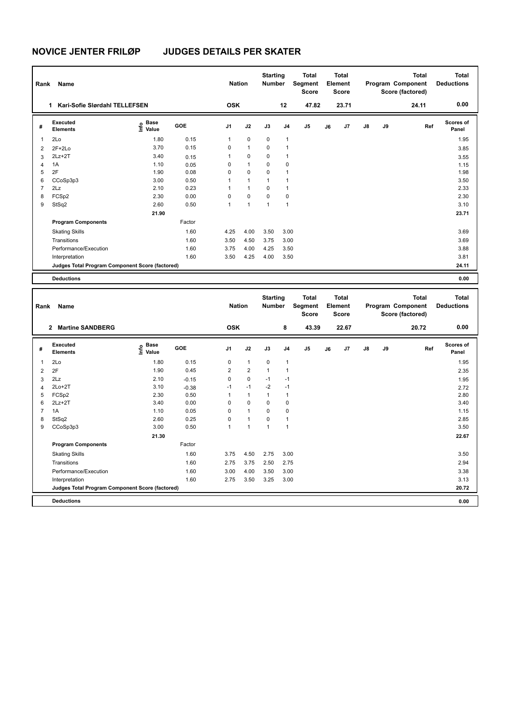**Program Components** 

# **NOVICE JENTER FRILØP JUDGES DETAILS PER SKATER**

| Rank           | Name                                            |                           |            |                | <b>Nation</b>  | <b>Starting</b><br><b>Number</b> |                | <b>Total</b><br>Segment<br>Score        |    | <b>Total</b><br>Element<br>Score |    |    | <b>Total</b><br>Program Component<br>Score (factored) | <b>Total</b><br><b>Deductions</b> |
|----------------|-------------------------------------------------|---------------------------|------------|----------------|----------------|----------------------------------|----------------|-----------------------------------------|----|----------------------------------|----|----|-------------------------------------------------------|-----------------------------------|
|                | 1 Kari-Sofie Slørdahl TELLEFSEN                 |                           |            | <b>OSK</b>     |                |                                  | 12             | 47.82                                   |    | 23.71                            |    |    | 24.11                                                 | 0.00                              |
| #              | <b>Executed</b><br><b>Elements</b>              | Base<br>e Base<br>E Value | GOE        | J1             | J2             | J3                               | J <sub>4</sub> | J5                                      | J6 | J7                               | J8 | J9 | Ref                                                   | <b>Scores of</b><br>Panel         |
| 1              | 2Lo                                             | 1.80                      | 0.15       | 1              | 0              | 0                                | $\mathbf{1}$   |                                         |    |                                  |    |    |                                                       | 1.95                              |
| 2              | $2F+2Lo$                                        | 3.70                      | 0.15       | $\mathbf 0$    | $\mathbf{1}$   | $\mathbf 0$                      | 1              |                                         |    |                                  |    |    |                                                       | 3.85                              |
| 3              | $2Lz+2T$                                        | 3.40                      | 0.15       | 1              | $\mathbf 0$    | $\mathbf 0$                      | $\mathbf{1}$   |                                         |    |                                  |    |    |                                                       | 3.55                              |
| $\overline{4}$ | 1A                                              | 1.10                      | 0.05       | $\mathbf 0$    | $\mathbf{1}$   | $\mathbf 0$                      | 0              |                                         |    |                                  |    |    |                                                       | 1.15                              |
| 5              | 2F                                              | 1.90                      | 0.08       | $\mathbf 0$    | $\mathbf 0$    | $\mathbf 0$                      | 1              |                                         |    |                                  |    |    |                                                       | 1.98                              |
| 6              | CCoSp3p3                                        | 3.00                      | 0.50       | $\mathbf{1}$   | $\mathbf{1}$   | $\mathbf{1}$                     | $\mathbf{1}$   |                                         |    |                                  |    |    |                                                       | 3.50                              |
| $\overline{7}$ | 2Lz                                             | 2.10                      | 0.23       | $\mathbf{1}$   | $\mathbf{1}$   | $\mathbf 0$                      | $\mathbf{1}$   |                                         |    |                                  |    |    |                                                       | 2.33                              |
| 8              | FCSp2                                           | 2.30                      | 0.00       | $\mathbf 0$    | $\mathbf 0$    | $\mathbf 0$                      | $\mathbf 0$    |                                         |    |                                  |    |    |                                                       | 2.30                              |
| 9              | StSq2                                           | 2.60                      | 0.50       | $\mathbf{1}$   | $\mathbf{1}$   | $\mathbf{1}$                     | $\mathbf{1}$   |                                         |    |                                  |    |    |                                                       | 3.10                              |
|                |                                                 | 21.90                     |            |                |                |                                  |                |                                         |    |                                  |    |    |                                                       | 23.71                             |
|                | <b>Program Components</b>                       |                           | Factor     |                |                |                                  |                |                                         |    |                                  |    |    |                                                       |                                   |
|                | <b>Skating Skills</b>                           |                           | 1.60       | 4.25           | 4.00           | 3.50                             | 3.00           |                                         |    |                                  |    |    |                                                       | 3.69                              |
|                | Transitions                                     |                           | 1.60       | 3.50           | 4.50           | 3.75                             | 3.00           |                                         |    |                                  |    |    |                                                       | 3.69                              |
|                | Performance/Execution                           |                           | 1.60       | 3.75           | 4.00           | 4.25                             | 3.50           |                                         |    |                                  |    |    |                                                       | 3.88                              |
|                | Interpretation                                  |                           | 1.60       | 3.50           | 4.25           | 4.00                             | 3.50           |                                         |    |                                  |    |    |                                                       | 3.81                              |
|                | Judges Total Program Component Score (factored) |                           |            |                |                |                                  |                |                                         |    |                                  |    |    |                                                       | 24.11                             |
|                | <b>Deductions</b>                               |                           |            |                |                |                                  |                |                                         |    |                                  |    |    |                                                       | 0.00                              |
| Rank           | Name                                            |                           |            | <b>Nation</b>  |                | <b>Starting</b><br><b>Number</b> |                | <b>Total</b><br><b>Segment</b><br>Score |    | <b>Total</b><br>Element<br>Score |    |    | <b>Total</b><br>Program Component<br>Score (factored) | <b>Total</b><br><b>Deductions</b> |
|                |                                                 |                           |            |                |                |                                  |                |                                         |    |                                  |    |    |                                                       |                                   |
|                | 2 Martine SANDBERG                              |                           |            | <b>OSK</b>     |                |                                  | 8              | 43.39                                   |    | 22.67                            |    |    | 20.72                                                 | 0.00                              |
| #              | <b>Executed</b><br><b>Elements</b>              | $rac{e}{E}$ Base          | <b>GOE</b> | J <sub>1</sub> | J2             | J3                               | J <sub>4</sub> | J5                                      | J6 | J7                               | J8 | J9 | Ref                                                   | Scores of<br>Panel                |
| 1              | 2Lo                                             | 1.80                      | 0.15       | 0              | $\mathbf{1}$   | 0                                | 1              |                                         |    |                                  |    |    |                                                       | 1.95                              |
| $\overline{2}$ | 2F                                              | 1.90                      | 0.45       | $\overline{2}$ | $\overline{2}$ | $\mathbf{1}$                     | $\mathbf{1}$   |                                         |    |                                  |    |    |                                                       | 2.35                              |
| 3              | 2Lz                                             | 2.10                      | $-0.15$    | $\mathbf 0$    | $\mathbf 0$    | $-1$                             | $-1$           |                                         |    |                                  |    |    |                                                       | 1.95                              |
| $\overline{4}$ | $2Lo+2T$                                        | 3.10                      | $-0.38$    | $-1$           | $-1$           | $-2$                             | $-1$           |                                         |    |                                  |    |    |                                                       | 2.72                              |
| 5              | FCSp2                                           | 2.30                      | 0.50       | $\mathbf{1}$   | $\mathbf{1}$   | $\mathbf{1}$                     | $\mathbf{1}$   |                                         |    |                                  |    |    |                                                       | 2.80                              |
| 6              | $2Lz+2T$                                        | 3.40                      | 0.00       | $\mathbf 0$    | $\mathbf 0$    | $\mathbf 0$                      | $\mathsf 0$    |                                         |    |                                  |    |    |                                                       | 3.40                              |
| $\overline{7}$ | 1A                                              | 1.10                      | 0.05       | $\mathbf 0$    | $\mathbf{1}$   | $\mathbf 0$                      | $\mathsf 0$    |                                         |    |                                  |    |    |                                                       | 1.15                              |
| 8              | StSq2                                           | 2.60                      | 0.25       | $\mathbf 0$    | $\mathbf{1}$   | $\mathbf 0$                      | $\mathbf{1}$   |                                         |    |                                  |    |    |                                                       | 2.85                              |
| 9              | CCoSp3p3                                        | 3.00                      | 0.50       | $\mathbf{1}$   | $\mathbf{1}$   | $\mathbf{1}$                     | $\mathbf{1}$   |                                         |    |                                  |    |    |                                                       | 3.50                              |
|                |                                                 | 21.30                     |            |                |                |                                  |                |                                         |    |                                  |    |    |                                                       | 22.67                             |

Skating Skills 3.75 4.50 2.75 3.00 1.60 3.50

Transitions 1.60 2.75 3.75 2.50 2.75 2.94 Performance/Execution 1.60 3.00 4.00 3.50 3.00<br>1.60 2.75 3.50 3.25 3.00 3.38 3.00 3.13 3.13

**Deductions 0.00 Judges Total Program Component Score (factored) 20.72**

Factor

Interpretation 1.60 2.75 3.50 3.25 3.00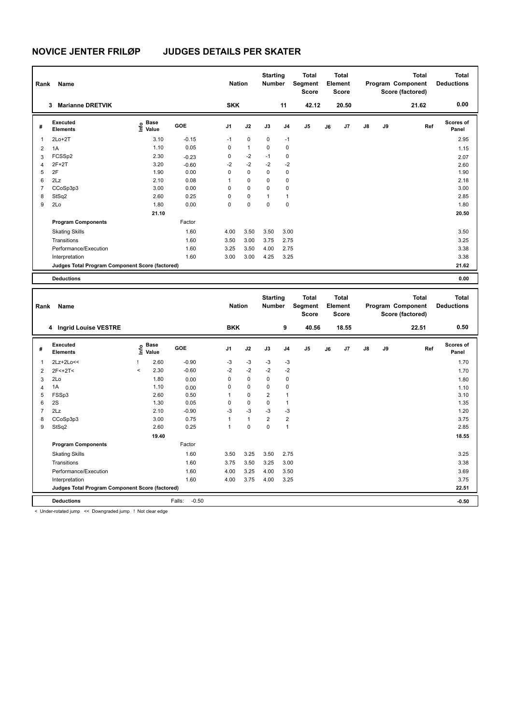| Rank           | Name                                            |                              |            | <b>Nation</b> |              | <b>Starting</b><br><b>Number</b> |                | <b>Total</b><br>Segment<br>Score |    | <b>Total</b><br>Element<br>Score |    |    | <b>Total</b><br>Program Component<br>Score (factored) | <b>Total</b><br><b>Deductions</b> |
|----------------|-------------------------------------------------|------------------------------|------------|---------------|--------------|----------------------------------|----------------|----------------------------------|----|----------------------------------|----|----|-------------------------------------------------------|-----------------------------------|
|                | 3 Marianne DRETVIK                              |                              |            | <b>SKK</b>    |              |                                  | 11             | 42.12                            |    | 20.50                            |    |    | 21.62                                                 | 0.00                              |
| #              | <b>Executed</b><br><b>Elements</b>              | e Base<br>⊑ Value            | GOE        | J1            | J2           | J3                               | J4             | J5                               | J6 | J7                               | J8 | J9 | Ref                                                   | Scores of<br>Panel                |
| 1              | $2Lo+2T$                                        | 3.10                         | $-0.15$    | $-1$          | $\mathbf 0$  | $\mathbf 0$                      | $-1$           |                                  |    |                                  |    |    |                                                       | 2.95                              |
| $\overline{2}$ | 1A                                              | 1.10                         | 0.05       | $\mathbf 0$   | $\mathbf{1}$ | $\mathbf 0$                      | $\mathbf 0$    |                                  |    |                                  |    |    |                                                       | 1.15                              |
| 3              | FCSSp2                                          | 2.30                         | $-0.23$    | $\mathbf 0$   | $-2$         | $-1$                             | 0              |                                  |    |                                  |    |    |                                                       | 2.07                              |
| $\overline{4}$ | $2F+2T$                                         | 3.20                         | $-0.60$    | $-2$          | $-2$         | $-2$                             | $-2$           |                                  |    |                                  |    |    |                                                       | 2.60                              |
| 5              | 2F                                              | 1.90                         | 0.00       | $\mathbf 0$   | $\mathbf 0$  | $\mathbf 0$                      | $\mathbf 0$    |                                  |    |                                  |    |    |                                                       | 1.90                              |
| 6              | 2Lz                                             | 2.10                         | 0.08       | $\mathbf{1}$  | 0            | $\mathbf 0$                      | 0              |                                  |    |                                  |    |    |                                                       | 2.18                              |
| $\overline{7}$ | CCoSp3p3                                        | 3.00                         | 0.00       | $\Omega$      | $\mathbf 0$  | $\mathbf 0$                      | 0              |                                  |    |                                  |    |    |                                                       | 3.00                              |
| 8              | StSq2                                           | 2.60                         | 0.25       | $\mathbf 0$   | 0            | 1                                | $\mathbf{1}$   |                                  |    |                                  |    |    |                                                       | 2.85                              |
| 9              | 2Lo                                             | 1.80                         | 0.00       | $\Omega$      | $\mathbf 0$  | $\mathbf 0$                      | $\mathbf 0$    |                                  |    |                                  |    |    |                                                       | 1.80                              |
|                |                                                 | 21.10                        |            |               |              |                                  |                |                                  |    |                                  |    |    |                                                       | 20.50                             |
|                | <b>Program Components</b>                       |                              | Factor     |               |              |                                  |                |                                  |    |                                  |    |    |                                                       |                                   |
|                | <b>Skating Skills</b>                           |                              | 1.60       | 4.00          | 3.50         | 3.50                             | 3.00           |                                  |    |                                  |    |    |                                                       | 3.50                              |
|                | Transitions                                     |                              | 1.60       | 3.50          | 3.00         | 3.75                             | 2.75           |                                  |    |                                  |    |    |                                                       | 3.25                              |
|                | Performance/Execution                           |                              | 1.60       | 3.25          | 3.50         | 4.00                             | 2.75           |                                  |    |                                  |    |    |                                                       | 3.38                              |
|                | Interpretation                                  |                              | 1.60       | 3.00          | 3.00         | 4.25                             | 3.25           |                                  |    |                                  |    |    |                                                       | 3.38                              |
|                | Judges Total Program Component Score (factored) |                              |            |               |              |                                  |                |                                  |    |                                  |    |    |                                                       | 21.62                             |
|                |                                                 |                              |            |               |              |                                  |                |                                  |    |                                  |    |    |                                                       |                                   |
|                | <b>Deductions</b>                               |                              |            |               |              |                                  |                |                                  |    |                                  |    |    |                                                       | 0.00                              |
|                |                                                 |                              |            |               |              | <b>Starting</b>                  |                | <b>Total</b>                     |    | <b>Total</b>                     |    |    | <b>Total</b>                                          | <b>Total</b>                      |
| Rank           | Name                                            |                              |            | <b>Nation</b> |              | <b>Number</b>                    |                | Segment                          |    | Element                          |    |    | Program Component                                     | <b>Deductions</b>                 |
|                |                                                 |                              |            |               |              |                                  |                | Score                            |    | Score                            |    |    | Score (factored)                                      |                                   |
|                | 4 Ingrid Louise VESTRE                          |                              |            | <b>BKK</b>    |              |                                  | 9              | 40.56                            |    | 18.55                            |    |    | 22.51                                                 | 0.50                              |
| #              | Executed<br><b>Elements</b>                     | <b>Base</b><br>١nf٥<br>Value | <b>GOE</b> | J1            | J2           | J3                               | J <sub>4</sub> | J5                               | J6 | J7                               | J8 | J9 | Ref                                                   | Scores of<br>Panel                |
| 1              | 2Lz+2Lo<<                                       | 2.60                         | $-0.90$    | $-3$          | $-3$         | $-3$                             | $-3$           |                                  |    |                                  |    |    |                                                       | 1.70                              |
| 2              | $2F < +2T <$                                    | 2.30<br>$\,<$                | $-0.60$    | $-2$          | $-2$         | $-2$                             | $-2$           |                                  |    |                                  |    |    |                                                       | 1.70                              |
| 3              | 2Lo                                             | 1.80                         | 0.00       | $\mathbf 0$   | $\mathbf 0$  | $\mathbf 0$                      | 0              |                                  |    |                                  |    |    |                                                       | 1.80                              |
| $\overline{4}$ | 1A                                              | 1.10                         | 0.00       | 0             | $\pmb{0}$    | $\mathbf 0$                      | 0              |                                  |    |                                  |    |    |                                                       | 1.10                              |
| 5              | FSSp3                                           | 2.60                         | 0.50       | 1             | 0            | $\overline{2}$                   | $\mathbf{1}$   |                                  |    |                                  |    |    |                                                       | 3.10                              |
| 6              | 2S                                              | 1.30                         | 0.05       | $\mathbf 0$   | $\mathbf 0$  | $\mathbf 0$                      | $\mathbf{1}$   |                                  |    |                                  |    |    |                                                       | 1.35                              |
| $\overline{7}$ | 2Lz                                             | 2.10                         | $-0.90$    | $-3$          | $-3$         | -3                               | $-3$           |                                  |    |                                  |    |    |                                                       | 1.20                              |
| 8              | CCoSp3p3                                        | 3.00                         | 0.75       | $\mathbf{1}$  | $\mathbf{1}$ | $\overline{2}$                   | $\overline{2}$ |                                  |    |                                  |    |    |                                                       | 3.75                              |

9 StSq2 2.60 0.25 1 0 0 1 2.85  **19.40 19.55 Program Components**  Skating Skills 3.50 3.25 3.50 2.75 1.60 3.25 Factor Transitions 1.60 3.75 3.50 3.25 3.00 3.38 Performance/Execution 1.60 4.00 3.25 4.00 3.50 3.69 3.69 3.75 4.00 3.75 4.00 3.75 4.00 3.25 3.75 4.00 3.25 3.75 Interpretation 1.60 4.00 3.75 4.00 3.25 **Judges Total Program Component Score (factored) 22.51**

**Deductions** Falls: -0.50 **-0.50**

< Under-rotated jump << Downgraded jump ! Not clear edge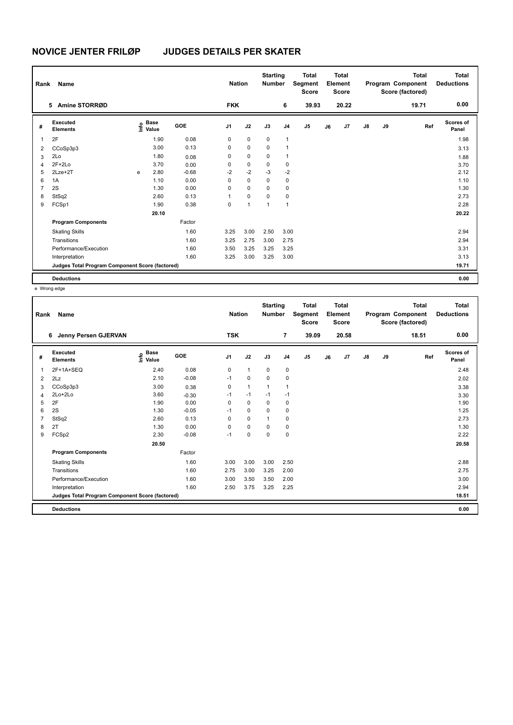| Rank           | Name                                            | <b>Nation</b> |                                             | <b>Starting</b><br><b>Number</b> |             | <b>Total</b><br>Segment<br><b>Score</b> |          | <b>Total</b><br>Element<br><b>Score</b> |                |    | <b>Total</b><br>Program Component<br>Score (factored) | Total<br><b>Deductions</b> |    |       |                    |
|----------------|-------------------------------------------------|---------------|---------------------------------------------|----------------------------------|-------------|-----------------------------------------|----------|-----------------------------------------|----------------|----|-------------------------------------------------------|----------------------------|----|-------|--------------------|
|                | Amine STORRØD<br>5.                             |               |                                             |                                  | <b>FKK</b>  |                                         |          | 6                                       | 39.93          |    | 20.22                                                 |                            |    | 19.71 | 0.00               |
| #              | Executed<br><b>Elements</b>                     |               | <b>Base</b><br>e <sup>Base</sup><br>⊆ Value | GOE                              | J1          | J2                                      | J3       | J <sub>4</sub>                          | J <sub>5</sub> | J6 | J <sub>7</sub>                                        | $\mathsf{J}8$              | J9 | Ref   | Scores of<br>Panel |
| 1              | 2F                                              |               | 1.90                                        | 0.08                             | $\mathbf 0$ | $\mathbf 0$                             | 0        | 1                                       |                |    |                                                       |                            |    |       | 1.98               |
| 2              | CCoSp3p3                                        |               | 3.00                                        | 0.13                             | 0           | 0                                       | 0        | 1                                       |                |    |                                                       |                            |    |       | 3.13               |
| 3              | 2Lo                                             |               | 1.80                                        | 0.08                             | 0           | 0                                       | 0        | 1                                       |                |    |                                                       |                            |    |       | 1.88               |
| 4              | $2F+2Lo$                                        |               | 3.70                                        | 0.00                             | 0           | $\pmb{0}$                               | 0        | $\mathbf 0$                             |                |    |                                                       |                            |    |       | 3.70               |
| 5              | $2$ Lze $+2$ T                                  | e             | 2.80                                        | $-0.68$                          | $-2$        | $-2$                                    | $-3$     | $-2$                                    |                |    |                                                       |                            |    |       | 2.12               |
| 6              | 1A                                              |               | 1.10                                        | 0.00                             | $\Omega$    | $\mathbf 0$                             | $\Omega$ | 0                                       |                |    |                                                       |                            |    |       | 1.10               |
| $\overline{7}$ | 2S                                              |               | 1.30                                        | 0.00                             | 0           | 0                                       | 0        | 0                                       |                |    |                                                       |                            |    |       | 1.30               |
| 8              | StSq2                                           |               | 2.60                                        | 0.13                             | 1           | 0                                       | 0        | 0                                       |                |    |                                                       |                            |    |       | 2.73               |
| 9              | FCSp1                                           |               | 1.90                                        | 0.38                             | 0           | $\mathbf{1}$                            | 1        | 1                                       |                |    |                                                       |                            |    |       | 2.28               |
|                |                                                 |               | 20.10                                       |                                  |             |                                         |          |                                         |                |    |                                                       |                            |    |       | 20.22              |
|                | <b>Program Components</b>                       |               |                                             | Factor                           |             |                                         |          |                                         |                |    |                                                       |                            |    |       |                    |
|                | <b>Skating Skills</b>                           |               |                                             | 1.60                             | 3.25        | 3.00                                    | 2.50     | 3.00                                    |                |    |                                                       |                            |    |       | 2.94               |
|                | Transitions                                     |               |                                             | 1.60                             | 3.25        | 2.75                                    | 3.00     | 2.75                                    |                |    |                                                       |                            |    |       | 2.94               |
|                | Performance/Execution                           |               |                                             | 1.60                             | 3.50        | 3.25                                    | 3.25     | 3.25                                    |                |    |                                                       |                            |    |       | 3.31               |
|                | Interpretation                                  |               |                                             | 1.60                             | 3.25        | 3.00                                    | 3.25     | 3.00                                    |                |    |                                                       |                            |    |       | 3.13               |
|                | Judges Total Program Component Score (factored) |               |                                             |                                  |             |                                         |          |                                         |                |    |                                                       |                            |    |       | 19.71              |
|                | <b>Deductions</b>                               |               |                                             |                                  |             |                                         |          |                                         |                |    |                                                       |                            |    |       | 0.00               |

e Wrong edge

| Rank | Name                                            |                                  |            | <b>Nation</b>  |              | <b>Starting</b><br><b>Number</b> |                | <b>Total</b><br>Segment<br><b>Score</b> |    | <b>Total</b><br>Element<br>Score |               |    | <b>Total</b><br>Program Component<br>Score (factored) | <b>Total</b><br><b>Deductions</b> |
|------|-------------------------------------------------|----------------------------------|------------|----------------|--------------|----------------------------------|----------------|-----------------------------------------|----|----------------------------------|---------------|----|-------------------------------------------------------|-----------------------------------|
|      | Jenny Persen GJERVAN<br>6                       |                                  |            | <b>TSK</b>     |              |                                  | $\overline{7}$ | 39.09                                   |    | 20.58                            |               |    | 18.51                                                 | 0.00                              |
| #    | Executed<br><b>Elements</b>                     | <b>Base</b><br>o Base<br>⊆ Value | <b>GOE</b> | J <sub>1</sub> | J2           | J3                               | J <sub>4</sub> | J <sub>5</sub>                          | J6 | J7                               | $\mathsf{J}8$ | J9 | Ref                                                   | <b>Scores of</b><br>Panel         |
| 1    | 2F+1A+SEQ                                       | 2.40                             | 0.08       | $\mathbf 0$    | $\mathbf{1}$ | $\mathbf 0$                      | $\mathbf 0$    |                                         |    |                                  |               |    |                                                       | 2.48                              |
| 2    | 2Lz                                             | 2.10                             | $-0.08$    | $-1$           | $\mathbf 0$  | $\Omega$                         | 0              |                                         |    |                                  |               |    |                                                       | 2.02                              |
| 3    | CCoSp3p3                                        | 3.00                             | 0.38       | 0              | $\mathbf{1}$ | $\mathbf{1}$                     | $\mathbf{1}$   |                                         |    |                                  |               |    |                                                       | 3.38                              |
| 4    | 2Lo+2Lo                                         | 3.60                             | $-0.30$    | $-1$           | $-1$         | $-1$                             | $-1$           |                                         |    |                                  |               |    |                                                       | 3.30                              |
| 5    | 2F                                              | 1.90                             | 0.00       | 0              | $\mathbf 0$  | 0                                | 0              |                                         |    |                                  |               |    |                                                       | 1.90                              |
| 6    | 2S                                              | 1.30                             | $-0.05$    | $-1$           | $\mathbf 0$  | 0                                | 0              |                                         |    |                                  |               |    |                                                       | 1.25                              |
| 7    | StSq2                                           | 2.60                             | 0.13       | $\Omega$       | $\Omega$     | 1                                | 0              |                                         |    |                                  |               |    |                                                       | 2.73                              |
| 8    | 2T                                              | 1.30                             | 0.00       | $\Omega$       | $\mathbf 0$  | $\Omega$                         | $\mathbf 0$    |                                         |    |                                  |               |    |                                                       | 1.30                              |
| 9    | FCSp2                                           | 2.30                             | $-0.08$    | $-1$           | $\mathbf 0$  | $\Omega$                         | $\mathbf 0$    |                                         |    |                                  |               |    |                                                       | 2.22                              |
|      |                                                 | 20.50                            |            |                |              |                                  |                |                                         |    |                                  |               |    |                                                       | 20.58                             |
|      | <b>Program Components</b>                       |                                  | Factor     |                |              |                                  |                |                                         |    |                                  |               |    |                                                       |                                   |
|      | <b>Skating Skills</b>                           |                                  | 1.60       | 3.00           | 3.00         | 3.00                             | 2.50           |                                         |    |                                  |               |    |                                                       | 2.88                              |
|      | Transitions                                     |                                  | 1.60       | 2.75           | 3.00         | 3.25                             | 2.00           |                                         |    |                                  |               |    |                                                       | 2.75                              |
|      | Performance/Execution                           |                                  | 1.60       | 3.00           | 3.50         | 3.50                             | 2.00           |                                         |    |                                  |               |    |                                                       | 3.00                              |
|      | Interpretation                                  |                                  | 1.60       | 2.50           | 3.75         | 3.25                             | 2.25           |                                         |    |                                  |               |    |                                                       | 2.94                              |
|      | Judges Total Program Component Score (factored) |                                  |            |                |              |                                  |                |                                         |    |                                  |               |    |                                                       | 18.51                             |
|      | <b>Deductions</b>                               |                                  |            |                |              |                                  |                |                                         |    |                                  |               |    |                                                       | 0.00                              |
|      |                                                 |                                  |            |                |              |                                  |                |                                         |    |                                  |               |    |                                                       |                                   |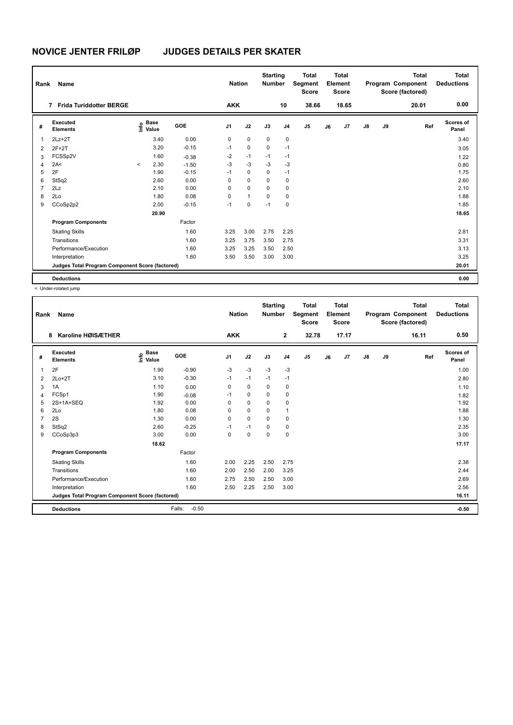| Rank           | Name<br><b>Frida Turiddotter BERGE</b><br>$\overline{7}$ |         |                      |            | <b>Nation</b>  |              | <b>Starting</b><br><b>Number</b> |                | <b>Total</b><br>Segment<br><b>Score</b> |    | <b>Total</b><br>Element<br><b>Score</b> |               |    | <b>Total</b><br>Program Component<br>Score (factored) | <b>Total</b><br><b>Deductions</b> |
|----------------|----------------------------------------------------------|---------|----------------------|------------|----------------|--------------|----------------------------------|----------------|-----------------------------------------|----|-----------------------------------------|---------------|----|-------------------------------------------------------|-----------------------------------|
|                |                                                          |         |                      |            | <b>AKK</b>     |              |                                  | 10             | 38.66                                   |    | 18.65                                   |               |    | 20.01                                                 | 0.00                              |
| #              | Executed<br><b>Elements</b>                              | ۴o      | <b>Base</b><br>Value | <b>GOE</b> | J <sub>1</sub> | J2           | J3                               | J <sub>4</sub> | J5                                      | J6 | J7                                      | $\mathsf{J}8$ | J9 | Ref                                                   | <b>Scores of</b><br>Panel         |
| $\mathbf 1$    | $2Lz+2T$                                                 |         | 3.40                 | 0.00       | 0              | $\mathbf 0$  | $\mathbf 0$                      | 0              |                                         |    |                                         |               |    |                                                       | 3.40                              |
| 2              | $2F+2T$                                                  |         | 3.20                 | $-0.15$    | $-1$           | 0            | $\mathbf 0$                      | $-1$           |                                         |    |                                         |               |    |                                                       | 3.05                              |
| 3              | FCSSp2V                                                  |         | 1.60                 | $-0.38$    | $-2$           | $-1$         | $-1$                             | $-1$           |                                         |    |                                         |               |    |                                                       | 1.22                              |
| 4              | 2A<                                                      | $\prec$ | 2.30                 | $-1.50$    | $-3$           | $-3$         | $-3$                             | $-3$           |                                         |    |                                         |               |    |                                                       | 0.80                              |
| 5              | 2F                                                       |         | 1.90                 | $-0.15$    | $-1$           | $\mathbf 0$  | $\mathbf 0$                      | -1             |                                         |    |                                         |               |    |                                                       | 1.75                              |
| 6              | StSq2                                                    |         | 2.60                 | 0.00       | 0              | $\mathbf 0$  | $\Omega$                         | 0              |                                         |    |                                         |               |    |                                                       | 2.60                              |
| $\overline{7}$ | 2Lz                                                      |         | 2.10                 | 0.00       | 0              | 0            | $\mathbf 0$                      | 0              |                                         |    |                                         |               |    |                                                       | 2.10                              |
| 8              | 2Lo                                                      |         | 1.80                 | 0.08       | 0              | $\mathbf{1}$ | 0                                | 0              |                                         |    |                                         |               |    |                                                       | 1.88                              |
| 9              | CCoSp2p2                                                 |         | 2.00                 | $-0.15$    | $-1$           | 0            | $-1$                             | 0              |                                         |    |                                         |               |    |                                                       | 1.85                              |
|                |                                                          |         | 20.90                |            |                |              |                                  |                |                                         |    |                                         |               |    |                                                       | 18.65                             |
|                | <b>Program Components</b>                                |         |                      | Factor     |                |              |                                  |                |                                         |    |                                         |               |    |                                                       |                                   |
|                | <b>Skating Skills</b>                                    |         |                      | 1.60       | 3.25           | 3.00         | 2.75                             | 2.25           |                                         |    |                                         |               |    |                                                       | 2.81                              |
|                | Transitions                                              |         |                      | 1.60       | 3.25           | 3.75         | 3.50                             | 2.75           |                                         |    |                                         |               |    |                                                       | 3.31                              |
|                | Performance/Execution                                    |         |                      | 1.60       | 3.25           | 3.25         | 3.50                             | 2.50           |                                         |    |                                         |               |    |                                                       | 3.13                              |
|                | Interpretation                                           |         |                      | 1.60       | 3.50           | 3.50         | 3.00                             | 3.00           |                                         |    |                                         |               |    |                                                       | 3.25                              |
|                | Judges Total Program Component Score (factored)          |         |                      |            |                |              |                                  |                |                                         |    |                                         |               |    |                                                       | 20.01                             |
|                | <b>Deductions</b>                                        |         |                      |            |                |              |                                  |                |                                         |    |                                         |               |    |                                                       | 0.00                              |

< Under-rotated jump

| Rank | Name                                            |                                           |                   | <b>Nation</b>  |             | <b>Starting</b><br><b>Number</b> |                | <b>Total</b><br>Segment<br><b>Score</b> |    | Total<br>Element<br><b>Score</b> |               |    | <b>Total</b><br>Program Component<br>Score (factored) | <b>Total</b><br><b>Deductions</b> |
|------|-------------------------------------------------|-------------------------------------------|-------------------|----------------|-------------|----------------------------------|----------------|-----------------------------------------|----|----------------------------------|---------------|----|-------------------------------------------------------|-----------------------------------|
|      | Karoline HØISÆTHER<br>8                         |                                           |                   | <b>AKK</b>     |             |                                  | $\mathbf{2}$   | 32.78                                   |    | 17.17                            |               |    | 16.11                                                 | 0.50                              |
| #    | Executed<br><b>Elements</b>                     | $\frac{6}{5}$ Base<br>$\frac{6}{5}$ Value | GOE               | J <sub>1</sub> | J2          | J3                               | J <sub>4</sub> | J <sub>5</sub>                          | J6 | J <sub>7</sub>                   | $\mathsf{J}8$ | J9 | Ref                                                   | Scores of<br>Panel                |
| 1    | 2F                                              | 1.90                                      | $-0.90$           | $-3$           | $-3$        | $-3$                             | $-3$           |                                         |    |                                  |               |    |                                                       | 1.00                              |
| 2    | $2Lo+2T$                                        | 3.10                                      | $-0.30$           | $-1$           | $-1$        | $-1$                             | $-1$           |                                         |    |                                  |               |    |                                                       | 2.80                              |
| 3    | 1A                                              | 1.10                                      | 0.00              | 0              | $\mathbf 0$ | 0                                | 0              |                                         |    |                                  |               |    |                                                       | 1.10                              |
| 4    | FCSp1                                           | 1.90                                      | $-0.08$           | $-1$           | $\mathbf 0$ | 0                                | 0              |                                         |    |                                  |               |    |                                                       | 1.82                              |
| 5    | 2S+1A+SEQ                                       | 1.92                                      | 0.00              | 0              | $\mathbf 0$ | 0                                | 0              |                                         |    |                                  |               |    |                                                       | 1.92                              |
| 6    | 2Lo                                             | 1.80                                      | 0.08              | 0              | $\Omega$    | $\Omega$                         | 1              |                                         |    |                                  |               |    |                                                       | 1.88                              |
| 7    | 2S                                              | 1.30                                      | 0.00              | 0              | $\mathbf 0$ | $\Omega$                         | $\mathbf 0$    |                                         |    |                                  |               |    |                                                       | 1.30                              |
| 8    | StSq2                                           | 2.60                                      | $-0.25$           | $-1$           | $-1$        | $\Omega$                         | 0              |                                         |    |                                  |               |    |                                                       | 2.35                              |
| 9    | CCoSp3p3                                        | 3.00                                      | 0.00              | $\Omega$       | $\mathbf 0$ | $\Omega$                         | $\mathbf 0$    |                                         |    |                                  |               |    |                                                       | 3.00                              |
|      |                                                 | 18.62                                     |                   |                |             |                                  |                |                                         |    |                                  |               |    |                                                       | 17.17                             |
|      | <b>Program Components</b>                       |                                           | Factor            |                |             |                                  |                |                                         |    |                                  |               |    |                                                       |                                   |
|      | <b>Skating Skills</b>                           |                                           | 1.60              | 2.00           | 2.25        | 2.50                             | 2.75           |                                         |    |                                  |               |    |                                                       | 2.38                              |
|      | Transitions                                     |                                           | 1.60              | 2.00           | 2.50        | 2.00                             | 3.25           |                                         |    |                                  |               |    |                                                       | 2.44                              |
|      | Performance/Execution                           |                                           | 1.60              | 2.75           | 2.50        | 2.50                             | 3.00           |                                         |    |                                  |               |    |                                                       | 2.69                              |
|      | Interpretation                                  |                                           | 1.60              | 2.50           | 2.25        | 2.50                             | 3.00           |                                         |    |                                  |               |    |                                                       | 2.56                              |
|      | Judges Total Program Component Score (factored) |                                           |                   |                |             |                                  |                |                                         |    |                                  |               |    |                                                       | 16.11                             |
|      | <b>Deductions</b>                               |                                           | $-0.50$<br>Falls: |                |             |                                  |                |                                         |    |                                  |               |    |                                                       | $-0.50$                           |
|      |                                                 |                                           |                   |                |             |                                  |                |                                         |    |                                  |               |    |                                                       |                                   |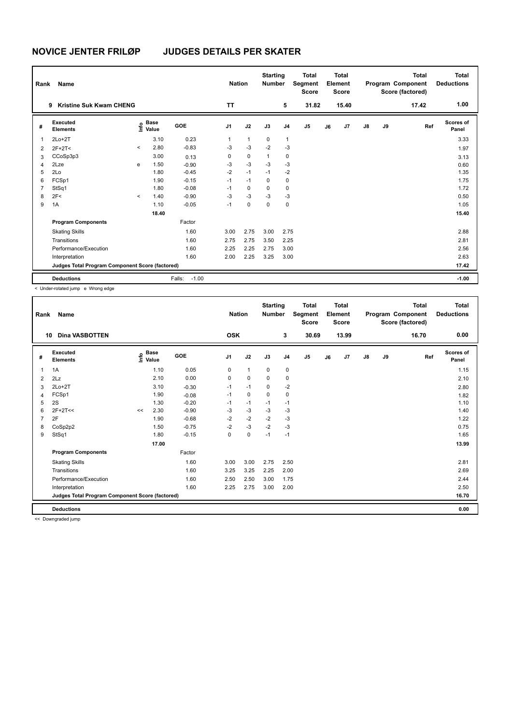| Rank           | Name                                            |                          | <b>Nation</b>                    |                   | <b>Starting</b><br><b>Number</b> |              | <b>Total</b><br>Segment<br><b>Score</b> |                | <b>Total</b><br>Element<br><b>Score</b> |    |       | <b>Total</b><br>Program Component<br>Score (factored) | Total<br><b>Deductions</b> |       |                    |
|----------------|-------------------------------------------------|--------------------------|----------------------------------|-------------------|----------------------------------|--------------|-----------------------------------------|----------------|-----------------------------------------|----|-------|-------------------------------------------------------|----------------------------|-------|--------------------|
|                | <b>Kristine Suk Kwam CHENG</b><br>9             |                          |                                  |                   | <b>TT</b>                        |              |                                         | 5              | 31.82                                   |    | 15.40 |                                                       |                            | 17.42 | 1.00               |
| #              | Executed<br><b>Elements</b>                     |                          | <b>Base</b><br>e Base<br>⊆ Value | <b>GOE</b>        | J <sub>1</sub>                   | J2           | J3                                      | J <sub>4</sub> | J <sub>5</sub>                          | J6 | J7    | $\mathsf{J}8$                                         | J9                         | Ref   | Scores of<br>Panel |
| 1              | $2Lo+2T$                                        |                          | 3.10                             | 0.23              | 1                                | $\mathbf{1}$ | 0                                       | $\mathbf{1}$   |                                         |    |       |                                                       |                            |       | 3.33               |
| 2              | $2F+2T<$                                        | $\prec$                  | 2.80                             | $-0.83$           | $-3$                             | $-3$         | $-2$                                    | $-3$           |                                         |    |       |                                                       |                            |       | 1.97               |
| 3              | CCoSp3p3                                        |                          | 3.00                             | 0.13              | 0                                | $\mathbf 0$  | $\mathbf{1}$                            | 0              |                                         |    |       |                                                       |                            |       | 3.13               |
| $\overline{4}$ | 2Lze                                            | e                        | 1.50                             | $-0.90$           | -3                               | $-3$         | $-3$                                    | $-3$           |                                         |    |       |                                                       |                            |       | 0.60               |
| 5              | 2Lo                                             |                          | 1.80                             | $-0.45$           | $-2$                             | $-1$         | $-1$                                    | $-2$           |                                         |    |       |                                                       |                            |       | 1.35               |
| 6              | FCSp1                                           |                          | 1.90                             | $-0.15$           | $-1$                             | $-1$         | $\mathbf 0$                             | 0              |                                         |    |       |                                                       |                            |       | 1.75               |
| $\overline{7}$ | StSq1                                           |                          | 1.80                             | $-0.08$           | $-1$                             | $\mathbf 0$  | $\Omega$                                | 0              |                                         |    |       |                                                       |                            |       | 1.72               |
| 8              | 2F<                                             | $\overline{\phantom{a}}$ | 1.40                             | $-0.90$           | $-3$                             | $-3$         | $-3$                                    | $-3$           |                                         |    |       |                                                       |                            |       | 0.50               |
| 9              | 1A                                              |                          | 1.10                             | $-0.05$           | $-1$                             | $\mathbf 0$  | 0                                       | 0              |                                         |    |       |                                                       |                            |       | 1.05               |
|                |                                                 |                          | 18.40                            |                   |                                  |              |                                         |                |                                         |    |       |                                                       |                            |       | 15.40              |
|                | <b>Program Components</b>                       |                          |                                  | Factor            |                                  |              |                                         |                |                                         |    |       |                                                       |                            |       |                    |
|                | <b>Skating Skills</b>                           |                          |                                  | 1.60              | 3.00                             | 2.75         | 3.00                                    | 2.75           |                                         |    |       |                                                       |                            |       | 2.88               |
|                | Transitions                                     |                          |                                  | 1.60              | 2.75                             | 2.75         | 3.50                                    | 2.25           |                                         |    |       |                                                       |                            |       | 2.81               |
|                | Performance/Execution                           |                          |                                  | 1.60              | 2.25                             | 2.25         | 2.75                                    | 3.00           |                                         |    |       |                                                       |                            |       | 2.56               |
|                | Interpretation                                  |                          |                                  | 1.60              | 2.00                             | 2.25         | 3.25                                    | 3.00           |                                         |    |       |                                                       |                            |       | 2.63               |
|                | Judges Total Program Component Score (factored) |                          |                                  |                   |                                  |              |                                         |                |                                         |    |       |                                                       |                            |       | 17.42              |
|                | <b>Deductions</b>                               |                          |                                  | $-1.00$<br>Falls: |                                  |              |                                         |                |                                         |    |       |                                                       |                            |       | $-1.00$            |

< Under-rotated jump e Wrong edge

| Rank | Name                                            |    |                                  |         | <b>Nation</b>  |              | <b>Starting</b><br><b>Number</b> |                | <b>Total</b><br>Segment<br><b>Score</b> |    | <b>Total</b><br>Element<br><b>Score</b> |    |    | <b>Total</b><br>Program Component<br>Score (factored) | <b>Total</b><br><b>Deductions</b> |
|------|-------------------------------------------------|----|----------------------------------|---------|----------------|--------------|----------------------------------|----------------|-----------------------------------------|----|-----------------------------------------|----|----|-------------------------------------------------------|-----------------------------------|
| 10   | <b>Dina VASBOTTEN</b>                           |    |                                  |         | <b>OSK</b>     |              |                                  | 3              | 30.69                                   |    | 13.99                                   |    |    | 16.70                                                 | 0.00                              |
| #    | Executed<br><b>Elements</b>                     |    | <b>Base</b><br>e Base<br>⊆ Value | GOE     | J <sub>1</sub> | J2           | J3                               | J <sub>4</sub> | J <sub>5</sub>                          | J6 | J <sub>7</sub>                          | J8 | J9 | Ref                                                   | <b>Scores of</b><br>Panel         |
| 1    | 1A                                              |    | 1.10                             | 0.05    | 0              | $\mathbf{1}$ | 0                                | 0              |                                         |    |                                         |    |    |                                                       | 1.15                              |
| 2    | 2Lz                                             |    | 2.10                             | 0.00    | 0              | 0            | 0                                | 0              |                                         |    |                                         |    |    |                                                       | 2.10                              |
| 3    | $2Lo+2T$                                        |    | 3.10                             | $-0.30$ | $-1$           | $-1$         | 0                                | $-2$           |                                         |    |                                         |    |    |                                                       | 2.80                              |
| 4    | FCSp1                                           |    | 1.90                             | $-0.08$ | $-1$           | 0            | $\Omega$                         | 0              |                                         |    |                                         |    |    |                                                       | 1.82                              |
| 5    | 2S                                              |    | 1.30                             | $-0.20$ | $-1$           | $-1$         | $-1$                             | $-1$           |                                         |    |                                         |    |    |                                                       | 1.10                              |
| 6    | $2F+2T<<$                                       | << | 2.30                             | $-0.90$ | $-3$           | $-3$         | $-3$                             | $-3$           |                                         |    |                                         |    |    |                                                       | 1.40                              |
| 7    | 2F                                              |    | 1.90                             | $-0.68$ | $-2$           | $-2$         | $-2$                             | $-3$           |                                         |    |                                         |    |    |                                                       | 1.22                              |
| 8    | CoSp2p2                                         |    | 1.50                             | $-0.75$ | $-2$           | $-3$         | $-2$                             | $-3$           |                                         |    |                                         |    |    |                                                       | 0.75                              |
| 9    | StSq1                                           |    | 1.80                             | $-0.15$ | 0              | $\mathbf 0$  | $-1$                             | $-1$           |                                         |    |                                         |    |    |                                                       | 1.65                              |
|      |                                                 |    | 17.00                            |         |                |              |                                  |                |                                         |    |                                         |    |    |                                                       | 13.99                             |
|      | <b>Program Components</b>                       |    |                                  | Factor  |                |              |                                  |                |                                         |    |                                         |    |    |                                                       |                                   |
|      | <b>Skating Skills</b>                           |    |                                  | 1.60    | 3.00           | 3.00         | 2.75                             | 2.50           |                                         |    |                                         |    |    |                                                       | 2.81                              |
|      | Transitions                                     |    |                                  | 1.60    | 3.25           | 3.25         | 2.25                             | 2.00           |                                         |    |                                         |    |    |                                                       | 2.69                              |
|      | Performance/Execution                           |    |                                  | 1.60    | 2.50           | 2.50         | 3.00                             | 1.75           |                                         |    |                                         |    |    |                                                       | 2.44                              |
|      | Interpretation                                  |    |                                  | 1.60    | 2.25           | 2.75         | 3.00                             | 2.00           |                                         |    |                                         |    |    |                                                       | 2.50                              |
|      | Judges Total Program Component Score (factored) |    |                                  |         |                |              |                                  |                |                                         |    |                                         |    |    |                                                       | 16.70                             |
|      | <b>Deductions</b>                               |    |                                  |         |                |              |                                  |                |                                         |    |                                         |    |    |                                                       | 0.00                              |

<< Downgraded jump